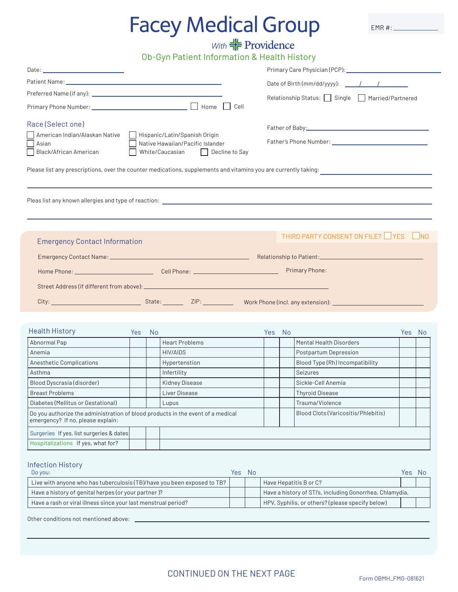# **Facey Medical Group**

 $EMR #:$ 

# $\frac{dV}{dr}$  *Providence<br>Ob-Gyn Patient Information & Health History*

| Cell                                                                                                                                                                                                                                                                                                                                    |            |           |                       |            | Relationship Status: Single Married/Partnered |                                                                                                                                                                                                                                |        |                             |  |  |  |
|-----------------------------------------------------------------------------------------------------------------------------------------------------------------------------------------------------------------------------------------------------------------------------------------------------------------------------------------|------------|-----------|-----------------------|------------|-----------------------------------------------|--------------------------------------------------------------------------------------------------------------------------------------------------------------------------------------------------------------------------------|--------|-----------------------------|--|--|--|
| Race (Select one)<br>American Indian/Alaskan Native   Hispanic/Latin/Spanish Origin<br>Native Hawaiian/Pacific Islander<br>Asian<br>Black/African American<br>White/Caucasian Decline to Say<br>Please list any prescriptions, over the counter medications, supplements and vitamins you are currently taking: _______________________ |            |           |                       |            |                                               |                                                                                                                                                                                                                                |        |                             |  |  |  |
|                                                                                                                                                                                                                                                                                                                                         |            |           |                       |            |                                               |                                                                                                                                                                                                                                |        |                             |  |  |  |
| <b>Emergency Contact Information</b>                                                                                                                                                                                                                                                                                                    |            |           |                       |            |                                               | THIRD PARTY CONSENT ON FILE? YES                                                                                                                                                                                               |        | $\overline{\phantom{a}}$ NO |  |  |  |
|                                                                                                                                                                                                                                                                                                                                         |            |           |                       |            |                                               | City: 1990 City: 1990 City: 1990 City: 1990 City: 1990 City: 1990 City: 1990 City: 1990 City: 1990 City: 1990 City: 1990 City: 1990 City: 1990 City: 1990 City: 1990 City: 1990 City: 1990 City: 1990 City: 1990 City: 1990 Ci |        |                             |  |  |  |
| <b>Health History</b>                                                                                                                                                                                                                                                                                                                   | <b>Yes</b> | <b>No</b> |                       | <b>Yes</b> | <b>No</b>                                     |                                                                                                                                                                                                                                | Yes No |                             |  |  |  |
| Abnormal Pap                                                                                                                                                                                                                                                                                                                            |            |           | <b>Heart Problems</b> |            |                                               | Mental Health Disorders                                                                                                                                                                                                        |        |                             |  |  |  |
| Anemia                                                                                                                                                                                                                                                                                                                                  |            |           | <b>HIV/AIDS</b>       |            |                                               | Postpartum Depression                                                                                                                                                                                                          |        |                             |  |  |  |
| Anesthetic Complications                                                                                                                                                                                                                                                                                                                |            |           | Hypertenstion         |            |                                               | Blood Type (Rh) Incompatibility                                                                                                                                                                                                |        |                             |  |  |  |
| Asthma                                                                                                                                                                                                                                                                                                                                  |            |           | Infertility           |            |                                               | Seizures                                                                                                                                                                                                                       |        |                             |  |  |  |
| Blood Dyscrasia (disorder)                                                                                                                                                                                                                                                                                                              |            |           | Kidney Disease        |            |                                               | Sickle-Cell Anemia                                                                                                                                                                                                             |        |                             |  |  |  |
| <b>Breast Problems</b>                                                                                                                                                                                                                                                                                                                  |            |           | Liver Disease         |            |                                               | <b>Thyroid Disease</b>                                                                                                                                                                                                         |        |                             |  |  |  |
| Diabetes (Mellitus or Gestational)                                                                                                                                                                                                                                                                                                      |            |           | Lupus                 |            |                                               | Trauma/Violence                                                                                                                                                                                                                |        |                             |  |  |  |
| Do you authorize the administration of blood products in the event of a medical                                                                                                                                                                                                                                                         |            |           |                       |            |                                               | Blood Clots (Varicositis/Phlebitis)                                                                                                                                                                                            |        |                             |  |  |  |

Surgeries If yes, list surgeries & dates Hospitalizations If yes, what for? mergency? If no, please exp

#### Infection History

| Do you:                                                                 | Yes: | <b>Nc</b> |                                                          | Yes | Nc |
|-------------------------------------------------------------------------|------|-----------|----------------------------------------------------------|-----|----|
| Live with anyone who has tuberculosis (TB)/have you been exposed to TB? |      |           | Have Hepatitis B or C?                                   |     |    |
| Have a history of genital herpes (or your partner)?                     |      |           | Have a history of STI's, including Gonorrhea, Chlamydia, |     |    |
| Have a rash or viral illness since your last menstrual period?          |      |           | HPV, Syphilis, or others? (please specify below)         |     |    |

Other conditions not mentioned above: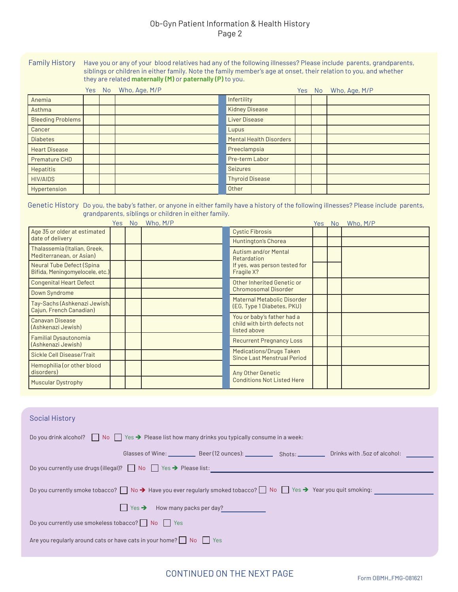### Ob-Gyn Patient Information & Health History Page 2

Family History Have you or any of your blood relatives had any of the following illnesses? Please include parents, grandparents, siblings or children in either family. Note the family member's age at onset, their relation to you, and whether they are related **maternally (M)** or **paternally (P)** to you.

|                          |  | Yes No Who, Age, M/P |                                | Yes No | Who, Age, M/P |
|--------------------------|--|----------------------|--------------------------------|--------|---------------|
| Anemia                   |  |                      | Infertility                    |        |               |
| Asthma                   |  |                      | <b>Kidney Disease</b>          |        |               |
| <b>Bleeding Problems</b> |  |                      | Liver Disease                  |        |               |
| Cancer                   |  |                      | Lupus                          |        |               |
| <b>Diabetes</b>          |  |                      | <b>Mental Health Disorders</b> |        |               |
| <b>Heart Disease</b>     |  |                      | Preeclampsia                   |        |               |
| Premature CHD            |  |                      | Pre-term Labor                 |        |               |
| <b>Hepatitis</b>         |  |                      | Seizures                       |        |               |
| <b>HIV/AIDS</b>          |  |                      | <b>Thyroid Disease</b>         |        |               |
| Hypertension             |  |                      | Other                          |        |               |

Genetic History Do you, the baby's father, or anyone in either family have a history of the following illnesses? Please include parents, grandparents, siblings or children in either family.

|                                                              | Yes: | <b>No</b> | Who, M/P |                                                                            | Yes No | Who, M/P |
|--------------------------------------------------------------|------|-----------|----------|----------------------------------------------------------------------------|--------|----------|
| Age 35 or older at estimated                                 |      |           |          | <b>Cystic Fibrosis</b>                                                     |        |          |
| date of delivery                                             |      |           |          | Huntington's Chorea                                                        |        |          |
| Thalassemia (Italian, Greek,<br>Mediterranean, or Asian)     |      |           |          | <b>Autism and/or Mental</b><br>Retardation                                 |        |          |
| Neural Tube Defect (Spina<br>Bifida, Meningomyelocele, etc.) |      |           |          | If yes, was person tested for<br>Fragile X?                                |        |          |
| <b>Congenital Heart Defect</b>                               |      |           |          | Other Inherited Genetic or                                                 |        |          |
| Down Syndrome                                                |      |           |          | <b>Chromosomal Disorder</b>                                                |        |          |
| Tay-Sachs (Ashkenazi Jewish,<br>Cajun, French Canadian)      |      |           |          | Maternal Metabolic Disorder<br>(EG, Type 1 Diabetes, PKU)                  |        |          |
| Canavan Disease<br>(Ashkenazi Jewish)                        |      |           |          | You or baby's father had a<br>child with birth defects not<br>listed above |        |          |
| Familial Dysautonomia<br>(Ashkenazi Jewish)                  |      |           |          | <b>Recurrent Pregnancy Loss</b>                                            |        |          |
| Sickle Cell Disease/Trait                                    |      |           |          | <b>Medications/Drugs Taken</b><br>Since Last Menstrual Period              |        |          |
| Hemophilia (or other blood<br>disorders)                     |      |           |          | Any Other Genetic                                                          |        |          |
| <b>Muscular Dystrophy</b>                                    |      |           |          | <b>Conditions Not Listed Here</b>                                          |        |          |

| <b>Social History</b>                                                                                                                                     |  |  |  |  |  |  |  |  |
|-----------------------------------------------------------------------------------------------------------------------------------------------------------|--|--|--|--|--|--|--|--|
| Do you drink alcohol? $\Box$ No $\Box$ Yes $\rightarrow$ Please list how many drinks you typically consume in a week:                                     |  |  |  |  |  |  |  |  |
|                                                                                                                                                           |  |  |  |  |  |  |  |  |
| Do you currently use drugs (illegal)? No Yes → Please list:                                                                                               |  |  |  |  |  |  |  |  |
| Do you currently smoke tobacco? $\Box$ No $\rightarrow$ Have you ever regularly smoked tobacco? $\Box$ No $\Box$ Yes $\rightarrow$ Year you quit smoking: |  |  |  |  |  |  |  |  |
| $\Box$ Yes $\rightarrow$ How many packs per day?                                                                                                          |  |  |  |  |  |  |  |  |
| Do you currently use smokeless tobacco? $\Box$ No $\Box$ Yes                                                                                              |  |  |  |  |  |  |  |  |
| Are you regularly around cats or have cats in your home? $\Box$ No $\Box$ Yes                                                                             |  |  |  |  |  |  |  |  |
|                                                                                                                                                           |  |  |  |  |  |  |  |  |